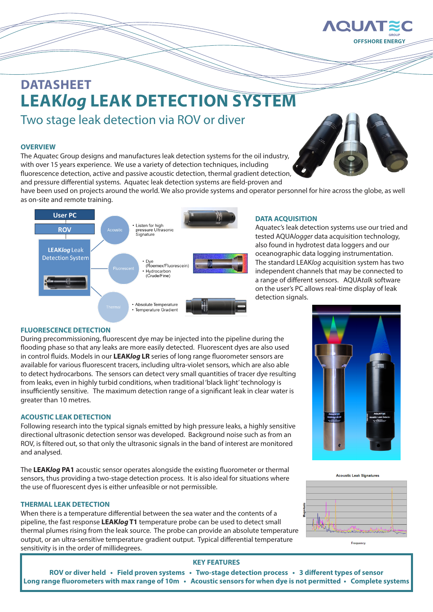

# **DATASHEET LEAK***log* **LEAK DETECTION SYSTEM**

Two stage leak detection via ROV or diver

#### **OVERVIEW**

The Aquatec Group designs and manufactures leak detection systems for the oil industry, with over 15 years experience. We use a variety of detection techniques, including fluorescence detection, active and passive acoustic detection, thermal gradient detection, and pressure differential systems. Aquatec leak detection systems are field-proven and



have been used on projects around the world. We also provide systems and operator personnel for hire across the globe, as well as on-site and remote training.



#### **DATA ACQUISITION**

Aquatec's leak detection systems use our tried and tested AQUA*logger* data acquisition technology, also found in hydrotest data loggers and our oceanographic data logging instrumentation. The standard LEAK*log* acquisition system has two independent channels that may be connected to a range of different sensors. AQUA*talk* software on the user's PC allows real-time display of leak detection signals.

#### **FLUORESCENCE DETECTION**

During precommissioning, fluorescent dye may be injected into the pipeline during the flooding phase so that any leaks are more easily detected. Fluorescent dyes are also used in control fluids. Models in our **LEAK***log* **LR** series of long range fluorometer sensors are available for various fluorescent tracers, including ultra-violet sensors, which are also able to detect hydrocarbons. The sensors can detect very small quantities of tracer dye resulting from leaks, even in highly turbid conditions, when traditional 'black light' technology is insufficiently sensitive. The maximum detection range of a significant leak in clear water is greater than 10 metres.

#### **ACOUSTIC LEAK DETECTION**

Following research into the typical signals emitted by high pressure leaks, a highly sensitive directional ultrasonic detection sensor was developed. Background noise such as from an ROV, is filtered out, so that only the ultrasonic signals in the band of interest are monitored and analysed.

The **LEAK***log* **PA1** acoustic sensor operates alongside the existing fluorometer or thermal sensors, thus providing a two-stage detection process. It is also ideal for situations where the use of fluorescent dyes is either unfeasible or not permissible.

#### **THERMAL LEAK DETECTION**

When there is a temperature differential between the sea water and the contents of a pipeline, the fast response **LEAK***log* **T1** temperature probe can be used to detect small thermal plumes rising from the leak source. The probe can provide an absolute temperature output, or an ultra-sensitive temperature gradient output. Typical differential temperature sensitivity is in the order of millidegrees.









### **KEY FEATURES**

**ROV or diver held • Field proven systems • Two-stage detection process • 3 different types of sensor Long range fluorometers with max range of 10m • Acoustic sensors for when dye is not permitted • Complete systems**